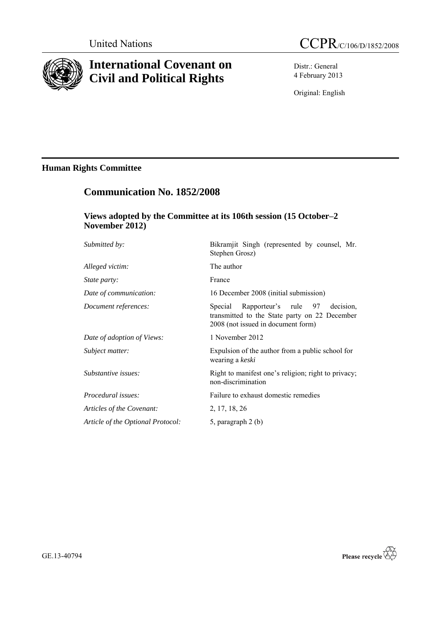

# **International Covenant on Civil and Political Rights**

Distr.: General 4 February 2013

Original: English

## **Human Rights Committee**

## **Communication No. 1852/2008**

## **Views adopted by the Committee at its 106th session (15 October–2 November 2012)**

| Submitted by:                     | Bikramjit Singh (represented by counsel, Mr.<br>Stephen Grosz)                                                                      |
|-----------------------------------|-------------------------------------------------------------------------------------------------------------------------------------|
| Alleged victim:                   | The author                                                                                                                          |
| <i>State party:</i>               | France                                                                                                                              |
| Date of communication:            | 16 December 2008 (initial submission)                                                                                               |
| Document references:              | decision.<br>Special<br>Rapporteur's rule 97<br>transmitted to the State party on 22 December<br>2008 (not issued in document form) |
| Date of adoption of Views:        | 1 November 2012                                                                                                                     |
| Subject matter:                   | Expulsion of the author from a public school for<br>wearing a keski                                                                 |
| Substantive issues:               | Right to manifest one's religion; right to privacy;<br>non-discrimination                                                           |
| Procedural issues:                | Failure to exhaust domestic remedies                                                                                                |
| Articles of the Covenant:         | 2, 17, 18, 26                                                                                                                       |
| Article of the Optional Protocol: | 5, paragraph 2 (b)                                                                                                                  |

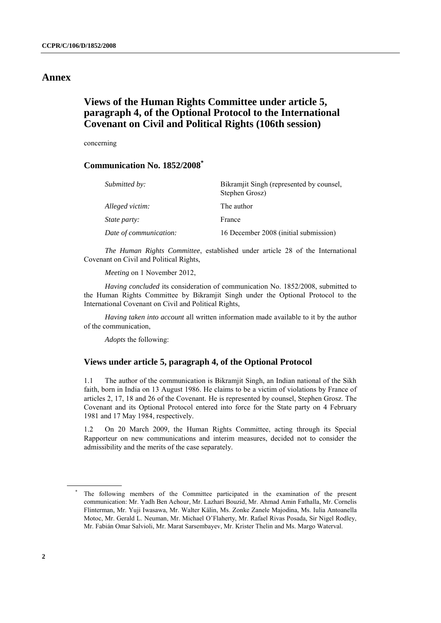## **Annex**

## **Views of the Human Rights Committee under article 5, paragraph 4, of the Optional Protocol to the International Covenant on Civil and Political Rights (106th session)**

concerning

### **Communication No. 1852/2008\***

| Submitted by:          | Bikramjit Singh (represented by counsel,<br>Stephen Grosz) |
|------------------------|------------------------------------------------------------|
| Alleged victim:        | The author                                                 |
| <i>State party:</i>    | France                                                     |
| Date of communication: | 16 December 2008 (initial submission)                      |

*The Human Rights Committee*, established under article 28 of the International Covenant on Civil and Political Rights,

*Meeting* on 1 November 2012,

*Having concluded* its consideration of communication No. 1852/2008, submitted to the Human Rights Committee by Bikramjit Singh under the Optional Protocol to the International Covenant on Civil and Political Rights,

*Having taken into account* all written information made available to it by the author of the communication,

*Adopts* the following:

### **Views under article 5, paragraph 4, of the Optional Protocol**

1.1 The author of the communication is Bikramjit Singh, an Indian national of the Sikh faith, born in India on 13 August 1986. He claims to be a victim of violations by France of articles 2, 17, 18 and 26 of the Covenant. He is represented by counsel, Stephen Grosz. The Covenant and its Optional Protocol entered into force for the State party on 4 February 1981 and 17 May 1984, respectively.

1.2 On 20 March 2009, the Human Rights Committee, acting through its Special Rapporteur on new communications and interim measures, decided not to consider the admissibility and the merits of the case separately.

The following members of the Committee participated in the examination of the present communication: Mr. Yadh Ben Achour, Mr. Lazhari Bouzid, Mr. Ahmad Amin Fathalla, Mr. Cornelis Flinterman, Mr. Yuji Iwasawa, Mr. Walter Kälin, Ms. Zonke Zanele Majodina, Ms. Iulia Antoanella Motoc, Mr. Gerald L. Neuman, Mr. Michael O"Flaherty, Mr. Rafael Rivas Posada, Sir Nigel Rodley, Mr. Fabián Omar Salvioli, Mr. Marat Sarsembayev, Mr. Krister Thelin and Ms. Margo Waterval.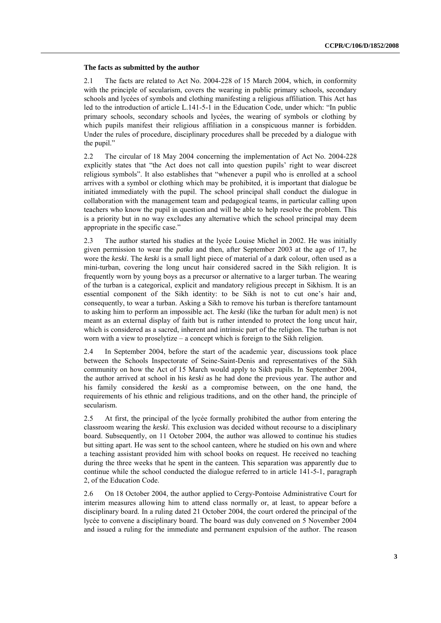#### **The facts as submitted by the author**

2.1 The facts are related to Act No. 2004-228 of 15 March 2004, which, in conformity with the principle of secularism, covers the wearing in public primary schools, secondary schools and lycées of symbols and clothing manifesting a religious affiliation. This Act has led to the introduction of article L.141-5-1 in the Education Code, under which: "In public primary schools, secondary schools and lycées, the wearing of symbols or clothing by which pupils manifest their religious affiliation in a conspicuous manner is forbidden. Under the rules of procedure, disciplinary procedures shall be preceded by a dialogue with the pupil."

2.2 The circular of 18 May 2004 concerning the implementation of Act No. 2004-228 explicitly states that "the Act does not call into question pupils" right to wear discreet religious symbols". It also establishes that "whenever a pupil who is enrolled at a school arrives with a symbol or clothing which may be prohibited, it is important that dialogue be initiated immediately with the pupil. The school principal shall conduct the dialogue in collaboration with the management team and pedagogical teams, in particular calling upon teachers who know the pupil in question and will be able to help resolve the problem. This is a priority but in no way excludes any alternative which the school principal may deem appropriate in the specific case."

2.3 The author started his studies at the lycée Louise Michel in 2002. He was initially given permission to wear the *patka* and then, after September 2003 at the age of 17, he wore the *keski*. The *keski* is a small light piece of material of a dark colour, often used as a mini-turban, covering the long uncut hair considered sacred in the Sikh religion. It is frequently worn by young boys as a precursor or alternative to a larger turban. The wearing of the turban is a categorical, explicit and mandatory religious precept in Sikhism. It is an essential component of the Sikh identity: to be Sikh is not to cut one"s hair and, consequently, to wear a turban. Asking a Sikh to remove his turban is therefore tantamount to asking him to perform an impossible act. The *keski* (like the turban for adult men) is not meant as an external display of faith but is rather intended to protect the long uncut hair, which is considered as a sacred, inherent and intrinsic part of the religion. The turban is not worn with a view to proselytize – a concept which is foreign to the Sikh religion.

2.4 In September 2004, before the start of the academic year, discussions took place between the Schools Inspectorate of Seine-Saint-Denis and representatives of the Sikh community on how the Act of 15 March would apply to Sikh pupils. In September 2004, the author arrived at school in his *keski* as he had done the previous year. The author and his family considered the *keski* as a compromise between, on the one hand, the requirements of his ethnic and religious traditions, and on the other hand, the principle of secularism.

2.5 At first, the principal of the lycée formally prohibited the author from entering the classroom wearing the *keski*. This exclusion was decided without recourse to a disciplinary board. Subsequently, on 11 October 2004, the author was allowed to continue his studies but sitting apart. He was sent to the school canteen, where he studied on his own and where a teaching assistant provided him with school books on request. He received no teaching during the three weeks that he spent in the canteen. This separation was apparently due to continue while the school conducted the dialogue referred to in article 141-5-1, paragraph 2, of the Education Code.

2.6 On 18 October 2004, the author applied to Cergy-Pontoise Administrative Court for interim measures allowing him to attend class normally or, at least, to appear before a disciplinary board. In a ruling dated 21 October 2004, the court ordered the principal of the lycée to convene a disciplinary board. The board was duly convened on 5 November 2004 and issued a ruling for the immediate and permanent expulsion of the author. The reason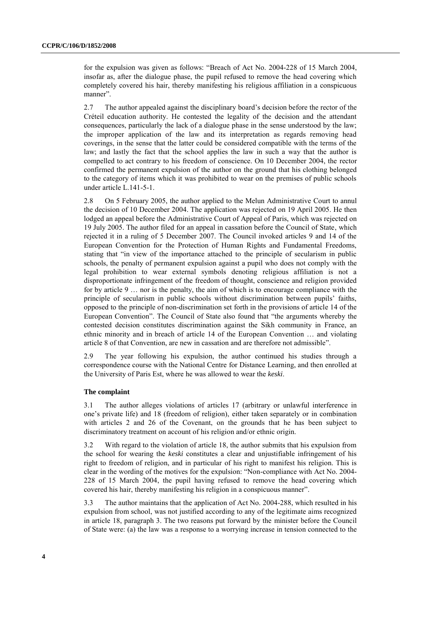for the expulsion was given as follows: "Breach of Act No. 2004-228 of 15 March 2004, insofar as, after the dialogue phase, the pupil refused to remove the head covering which completely covered his hair, thereby manifesting his religious affiliation in a conspicuous manner".

2.7 The author appealed against the disciplinary board"s decision before the rector of the Créteil education authority. He contested the legality of the decision and the attendant consequences, particularly the lack of a dialogue phase in the sense understood by the law; the improper application of the law and its interpretation as regards removing head coverings, in the sense that the latter could be considered compatible with the terms of the law; and lastly the fact that the school applies the law in such a way that the author is compelled to act contrary to his freedom of conscience. On 10 December 2004, the rector confirmed the permanent expulsion of the author on the ground that his clothing belonged to the category of items which it was prohibited to wear on the premises of public schools under article L.141-5-1.

2.8 On 5 February 2005, the author applied to the Melun Administrative Court to annul the decision of 10 December 2004. The application was rejected on 19 April 2005. He then lodged an appeal before the Administrative Court of Appeal of Paris, which was rejected on 19 July 2005. The author filed for an appeal in cassation before the Council of State, which rejected it in a ruling of 5 December 2007. The Council invoked articles 9 and 14 of the European Convention for the Protection of Human Rights and Fundamental Freedoms, stating that "in view of the importance attached to the principle of secularism in public schools, the penalty of permanent expulsion against a pupil who does not comply with the legal prohibition to wear external symbols denoting religious affiliation is not a disproportionate infringement of the freedom of thought, conscience and religion provided for by article 9 … nor is the penalty, the aim of which is to encourage compliance with the principle of secularism in public schools without discrimination between pupils" faiths, opposed to the principle of non-discrimination set forth in the provisions of article 14 of the European Convention". The Council of State also found that "the arguments whereby the contested decision constitutes discrimination against the Sikh community in France, an ethnic minority and in breach of article 14 of the European Convention … and violating article 8 of that Convention, are new in cassation and are therefore not admissible".

2.9 The year following his expulsion, the author continued his studies through a correspondence course with the National Centre for Distance Learning, and then enrolled at the University of Paris Est, where he was allowed to wear the *keski*.

#### **The complaint**

3.1 The author alleges violations of articles 17 (arbitrary or unlawful interference in one"s private life) and 18 (freedom of religion), either taken separately or in combination with articles 2 and 26 of the Covenant, on the grounds that he has been subject to discriminatory treatment on account of his religion and/or ethnic origin.

3.2 With regard to the violation of article 18, the author submits that his expulsion from the school for wearing the *keski* constitutes a clear and unjustifiable infringement of his right to freedom of religion, and in particular of his right to manifest his religion. This is clear in the wording of the motives for the expulsion: "Non-compliance with Act No. 2004- 228 of 15 March 2004, the pupil having refused to remove the head covering which covered his hair, thereby manifesting his religion in a conspicuous manner".

3.3 The author maintains that the application of Act No. 2004-288, which resulted in his expulsion from school, was not justified according to any of the legitimate aims recognized in article 18, paragraph 3. The two reasons put forward by the minister before the Council of State were: (a) the law was a response to a worrying increase in tension connected to the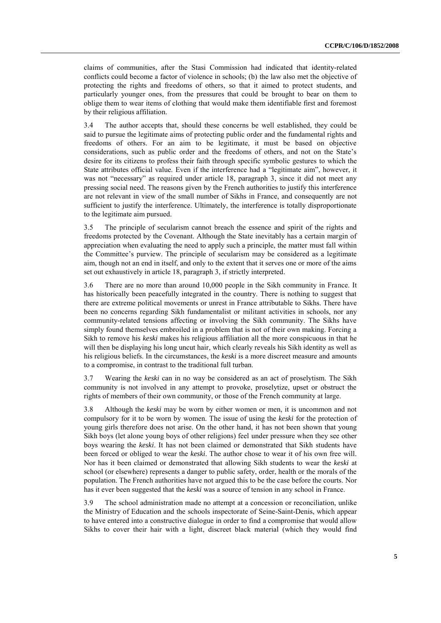claims of communities, after the Stasi Commission had indicated that identity-related conflicts could become a factor of violence in schools; (b) the law also met the objective of protecting the rights and freedoms of others, so that it aimed to protect students, and particularly younger ones, from the pressures that could be brought to bear on them to oblige them to wear items of clothing that would make them identifiable first and foremost by their religious affiliation.

3.4 The author accepts that, should these concerns be well established, they could be said to pursue the legitimate aims of protecting public order and the fundamental rights and freedoms of others. For an aim to be legitimate, it must be based on objective considerations, such as public order and the freedoms of others, and not on the State"s desire for its citizens to profess their faith through specific symbolic gestures to which the State attributes official value. Even if the interference had a "legitimate aim", however, it was not "necessary" as required under article 18, paragraph 3, since it did not meet any pressing social need. The reasons given by the French authorities to justify this interference are not relevant in view of the small number of Sikhs in France, and consequently are not sufficient to justify the interference. Ultimately, the interference is totally disproportionate to the legitimate aim pursued.

3.5 The principle of secularism cannot breach the essence and spirit of the rights and freedoms protected by the Covenant. Although the State inevitably has a certain margin of appreciation when evaluating the need to apply such a principle, the matter must fall within the Committee"s purview. The principle of secularism may be considered as a legitimate aim, though not an end in itself, and only to the extent that it serves one or more of the aims set out exhaustively in article 18, paragraph 3, if strictly interpreted.

3.6 There are no more than around 10,000 people in the Sikh community in France. It has historically been peacefully integrated in the country. There is nothing to suggest that there are extreme political movements or unrest in France attributable to Sikhs. There have been no concerns regarding Sikh fundamentalist or militant activities in schools, nor any community-related tensions affecting or involving the Sikh community. The Sikhs have simply found themselves embroiled in a problem that is not of their own making. Forcing a Sikh to remove his *keski* makes his religious affiliation all the more conspicuous in that he will then be displaying his long uncut hair, which clearly reveals his Sikh identity as well as his religious beliefs. In the circumstances, the *keski* is a more discreet measure and amounts to a compromise, in contrast to the traditional full turban.

3.7 Wearing the *keski* can in no way be considered as an act of proselytism. The Sikh community is not involved in any attempt to provoke, proselytize, upset or obstruct the rights of members of their own community, or those of the French community at large.

3.8 Although the *keski* may be worn by either women or men, it is uncommon and not compulsory for it to be worn by women. The issue of using the *keski* for the protection of young girls therefore does not arise. On the other hand, it has not been shown that young Sikh boys (let alone young boys of other religions) feel under pressure when they see other boys wearing the *keski*. It has not been claimed or demonstrated that Sikh students have been forced or obliged to wear the *keski*. The author chose to wear it of his own free will. Nor has it been claimed or demonstrated that allowing Sikh students to wear the *keski* at school (or elsewhere) represents a danger to public safety, order, health or the morals of the population. The French authorities have not argued this to be the case before the courts. Nor has it ever been suggested that the *keski* was a source of tension in any school in France.

3.9 The school administration made no attempt at a concession or reconciliation, unlike the Ministry of Education and the schools inspectorate of Seine-Saint-Denis, which appear to have entered into a constructive dialogue in order to find a compromise that would allow Sikhs to cover their hair with a light, discreet black material (which they would find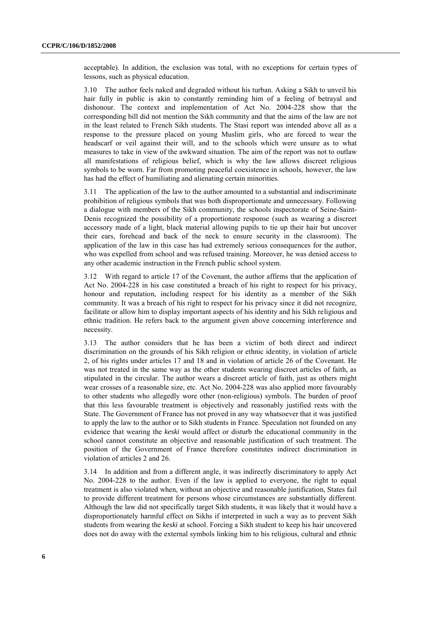acceptable). In addition, the exclusion was total, with no exceptions for certain types of lessons, such as physical education.

3.10 The author feels naked and degraded without his turban. Asking a Sikh to unveil his hair fully in public is akin to constantly reminding him of a feeling of betrayal and dishonour. The context and implementation of Act No. 2004-228 show that the corresponding bill did not mention the Sikh community and that the aims of the law are not in the least related to French Sikh students. The Stasi report was intended above all as a response to the pressure placed on young Muslim girls, who are forced to wear the headscarf or veil against their will, and to the schools which were unsure as to what measures to take in view of the awkward situation. The aim of the report was not to outlaw all manifestations of religious belief, which is why the law allows discreet religious symbols to be worn. Far from promoting peaceful coexistence in schools, however, the law has had the effect of humiliating and alienating certain minorities.

3.11 The application of the law to the author amounted to a substantial and indiscriminate prohibition of religious symbols that was both disproportionate and unnecessary. Following a dialogue with members of the Sikh community, the schools inspectorate of Seine-Saint-Denis recognized the possibility of a proportionate response (such as wearing a discreet accessory made of a light, black material allowing pupils to tie up their hair but uncover their ears, forehead and back of the neck to ensure security in the classroom). The application of the law in this case has had extremely serious consequences for the author, who was expelled from school and was refused training. Moreover, he was denied access to any other academic instruction in the French public school system.

3.12 With regard to article 17 of the Covenant, the author affirms that the application of Act No. 2004-228 in his case constituted a breach of his right to respect for his privacy, honour and reputation, including respect for his identity as a member of the Sikh community. It was a breach of his right to respect for his privacy since it did not recognize, facilitate or allow him to display important aspects of his identity and his Sikh religious and ethnic tradition. He refers back to the argument given above concerning interference and necessity.

3.13 The author considers that he has been a victim of both direct and indirect discrimination on the grounds of his Sikh religion or ethnic identity, in violation of article 2, of his rights under articles 17 and 18 and in violation of article 26 of the Covenant. He was not treated in the same way as the other students wearing discreet articles of faith, as stipulated in the circular. The author wears a discreet article of faith, just as others might wear crosses of a reasonable size, etc. Act No. 2004-228 was also applied more favourably to other students who allegedly wore other (non-religious) symbols. The burden of proof that this less favourable treatment is objectively and reasonably justified rests with the State. The Government of France has not proved in any way whatsoever that it was justified to apply the law to the author or to Sikh students in France. Speculation not founded on any evidence that wearing the *keski* would affect or disturb the educational community in the school cannot constitute an objective and reasonable justification of such treatment. The position of the Government of France therefore constitutes indirect discrimination in violation of articles 2 and 26.

3.14 In addition and from a different angle, it was indirectly discriminatory to apply Act No. 2004-228 to the author. Even if the law is applied to everyone, the right to equal treatment is also violated when, without an objective and reasonable justification, States fail to provide different treatment for persons whose circumstances are substantially different. Although the law did not specifically target Sikh students, it was likely that it would have a disproportionately harmful effect on Sikhs if interpreted in such a way as to prevent Sikh students from wearing the *keski* at school. Forcing a Sikh student to keep his hair uncovered does not do away with the external symbols linking him to his religious, cultural and ethnic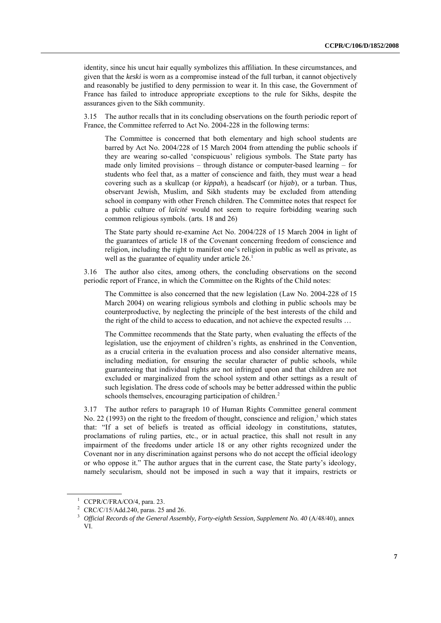identity, since his uncut hair equally symbolizes this affiliation. In these circumstances, and given that the *keski* is worn as a compromise instead of the full turban, it cannot objectively and reasonably be justified to deny permission to wear it. In this case, the Government of France has failed to introduce appropriate exceptions to the rule for Sikhs, despite the assurances given to the Sikh community.

3.15 The author recalls that in its concluding observations on the fourth periodic report of France, the Committee referred to Act No. 2004-228 in the following terms:

The Committee is concerned that both elementary and high school students are barred by Act No. 2004/228 of 15 March 2004 from attending the public schools if they are wearing so-called "conspicuous" religious symbols. The State party has made only limited provisions – through distance or computer-based learning – for students who feel that, as a matter of conscience and faith, they must wear a head covering such as a skullcap (or *kippah*), a headscarf (or *hijab*), or a turban. Thus, observant Jewish, Muslim, and Sikh students may be excluded from attending school in company with other French children. The Committee notes that respect for a public culture of *laïcité* would not seem to require forbidding wearing such common religious symbols. (arts. 18 and 26)

The State party should re-examine Act No. 2004/228 of 15 March 2004 in light of the guarantees of article 18 of the Covenant concerning freedom of conscience and religion, including the right to manifest one"s religion in public as well as private, as well as the guarantee of equality under article 26.<sup>1</sup>

3.16 The author also cites, among others, the concluding observations on the second periodic report of France, in which the Committee on the Rights of the Child notes:

The Committee is also concerned that the new legislation (Law No. 2004-228 of 15 March 2004) on wearing religious symbols and clothing in public schools may be counterproductive, by neglecting the principle of the best interests of the child and the right of the child to access to education, and not achieve the expected results …

The Committee recommends that the State party, when evaluating the effects of the legislation, use the enjoyment of children"s rights, as enshrined in the Convention, as a crucial criteria in the evaluation process and also consider alternative means, including mediation, for ensuring the secular character of public schools, while guaranteeing that individual rights are not infringed upon and that children are not excluded or marginalized from the school system and other settings as a result of such legislation. The dress code of schools may be better addressed within the public schools themselves, encouraging participation of children.<sup>2</sup>

3.17 The author refers to paragraph 10 of Human Rights Committee general comment No. 22 (1993) on the right to the freedom of thought, conscience and religion,<sup>3</sup> which states that: "If a set of beliefs is treated as official ideology in constitutions, statutes, proclamations of ruling parties, etc., or in actual practice, this shall not result in any impairment of the freedoms under article 18 or any other rights recognized under the Covenant nor in any discrimination against persons who do not accept the official ideology or who oppose it." The author argues that in the current case, the State party"s ideology, namely secularism, should not be imposed in such a way that it impairs, restricts or

<sup>1</sup> CCPR/C/FRA/CO/4, para. 23.

<sup>2</sup> CRC/C/15/Add.240, paras. 25 and 26.

<sup>&</sup>lt;sup>3</sup> Official Records of the General Assembly, Forty-eighth Session, Supplement No. 40 (A/48/40), annex VI.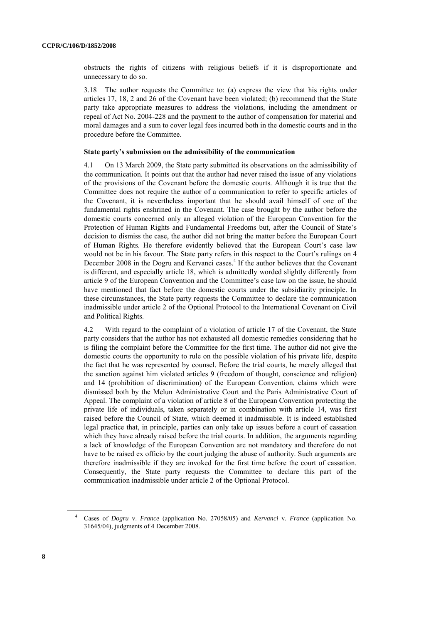obstructs the rights of citizens with religious beliefs if it is disproportionate and unnecessary to do so.

3.18 The author requests the Committee to: (a) express the view that his rights under articles 17, 18, 2 and 26 of the Covenant have been violated; (b) recommend that the State party take appropriate measures to address the violations, including the amendment or repeal of Act No. 2004-228 and the payment to the author of compensation for material and moral damages and a sum to cover legal fees incurred both in the domestic courts and in the procedure before the Committee.

#### **State party's submission on the admissibility of the communication**

4.1 On 13 March 2009, the State party submitted its observations on the admissibility of the communication. It points out that the author had never raised the issue of any violations of the provisions of the Covenant before the domestic courts. Although it is true that the Committee does not require the author of a communication to refer to specific articles of the Covenant, it is nevertheless important that he should avail himself of one of the fundamental rights enshrined in the Covenant. The case brought by the author before the domestic courts concerned only an alleged violation of the European Convention for the Protection of Human Rights and Fundamental Freedoms but, after the Council of State"s decision to dismiss the case, the author did not bring the matter before the European Court of Human Rights. He therefore evidently believed that the European Court"s case law would not be in his favour. The State party refers in this respect to the Court's rulings on 4 December 2008 in the Dogru and Kervanci cases.<sup>4</sup> If the author believes that the Covenant is different, and especially article 18, which is admittedly worded slightly differently from article 9 of the European Convention and the Committee"s case law on the issue, he should have mentioned that fact before the domestic courts under the subsidiarity principle. In these circumstances, the State party requests the Committee to declare the communication inadmissible under article 2 of the Optional Protocol to the International Covenant on Civil and Political Rights.

4.2 With regard to the complaint of a violation of article 17 of the Covenant, the State party considers that the author has not exhausted all domestic remedies considering that he is filing the complaint before the Committee for the first time. The author did not give the domestic courts the opportunity to rule on the possible violation of his private life, despite the fact that he was represented by counsel. Before the trial courts, he merely alleged that the sanction against him violated articles 9 (freedom of thought, conscience and religion) and 14 (prohibition of discrimination) of the European Convention, claims which were dismissed both by the Melun Administrative Court and the Paris Administrative Court of Appeal. The complaint of a violation of article 8 of the European Convention protecting the private life of individuals, taken separately or in combination with article 14, was first raised before the Council of State, which deemed it inadmissible. It is indeed established legal practice that, in principle, parties can only take up issues before a court of cassation which they have already raised before the trial courts. In addition, the arguments regarding a lack of knowledge of the European Convention are not mandatory and therefore do not have to be raised ex officio by the court judging the abuse of authority. Such arguments are therefore inadmissible if they are invoked for the first time before the court of cassation. Consequently, the State party requests the Committee to declare this part of the communication inadmissible under article 2 of the Optional Protocol.

<sup>4</sup> Cases of *Dogru* v. *France* (application No. 27058/05) and *Kervanci* v. *France* (application No. 31645/04), judgments of 4 December 2008.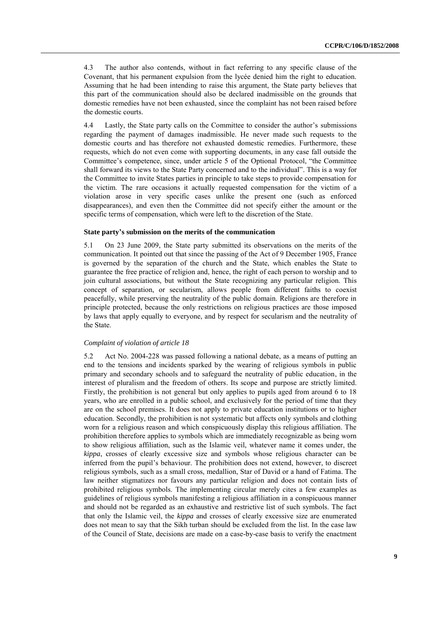4.3 The author also contends, without in fact referring to any specific clause of the Covenant, that his permanent expulsion from the lycée denied him the right to education. Assuming that he had been intending to raise this argument, the State party believes that this part of the communication should also be declared inadmissible on the grounds that domestic remedies have not been exhausted, since the complaint has not been raised before the domestic courts.

4.4 Lastly, the State party calls on the Committee to consider the author"s submissions regarding the payment of damages inadmissible. He never made such requests to the domestic courts and has therefore not exhausted domestic remedies. Furthermore, these requests, which do not even come with supporting documents, in any case fall outside the Committee"s competence, since, under article 5 of the Optional Protocol, "the Committee shall forward its views to the State Party concerned and to the individual". This is a way for the Committee to invite States parties in principle to take steps to provide compensation for the victim. The rare occasions it actually requested compensation for the victim of a violation arose in very specific cases unlike the present one (such as enforced disappearances), and even then the Committee did not specify either the amount or the specific terms of compensation, which were left to the discretion of the State.

#### **State party's submission on the merits of the communication**

5.1 On 23 June 2009, the State party submitted its observations on the merits of the communication. It pointed out that since the passing of the Act of 9 December 1905, France is governed by the separation of the church and the State, which enables the State to guarantee the free practice of religion and, hence, the right of each person to worship and to join cultural associations, but without the State recognizing any particular religion. This concept of separation, or secularism, allows people from different faiths to coexist peacefully, while preserving the neutrality of the public domain. Religions are therefore in principle protected, because the only restrictions on religious practices are those imposed by laws that apply equally to everyone, and by respect for secularism and the neutrality of the State.

#### *Complaint of violation of article 18*

5.2 Act No. 2004-228 was passed following a national debate, as a means of putting an end to the tensions and incidents sparked by the wearing of religious symbols in public primary and secondary schools and to safeguard the neutrality of public education, in the interest of pluralism and the freedom of others. Its scope and purpose are strictly limited. Firstly, the prohibition is not general but only applies to pupils aged from around 6 to 18 years, who are enrolled in a public school, and exclusively for the period of time that they are on the school premises. It does not apply to private education institutions or to higher education. Secondly, the prohibition is not systematic but affects only symbols and clothing worn for a religious reason and which conspicuously display this religious affiliation. The prohibition therefore applies to symbols which are immediately recognizable as being worn to show religious affiliation, such as the Islamic veil, whatever name it comes under, the *kippa*, crosses of clearly excessive size and symbols whose religious character can be inferred from the pupil"s behaviour. The prohibition does not extend, however, to discreet religious symbols, such as a small cross, medallion, Star of David or a hand of Fatima. The law neither stigmatizes nor favours any particular religion and does not contain lists of prohibited religious symbols. The implementing circular merely cites a few examples as guidelines of religious symbols manifesting a religious affiliation in a conspicuous manner and should not be regarded as an exhaustive and restrictive list of such symbols. The fact that only the Islamic veil, the *kippa* and crosses of clearly excessive size are enumerated does not mean to say that the Sikh turban should be excluded from the list. In the case law of the Council of State, decisions are made on a case-by-case basis to verify the enactment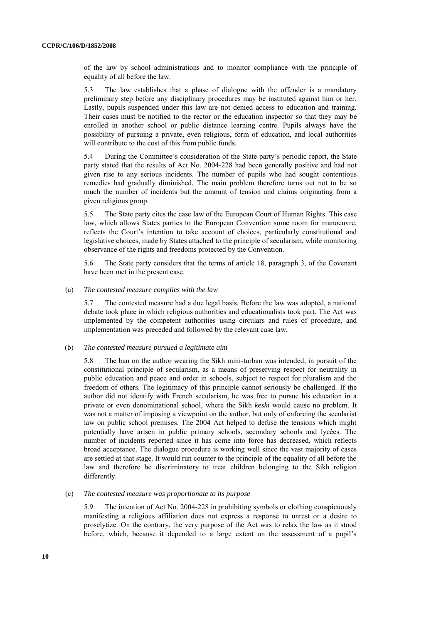of the law by school administrations and to monitor compliance with the principle of equality of all before the law.

5.3 The law establishes that a phase of dialogue with the offender is a mandatory preliminary step before any disciplinary procedures may be instituted against him or her. Lastly, pupils suspended under this law are not denied access to education and training. Their cases must be notified to the rector or the education inspector so that they may be enrolled in another school or public distance learning centre. Pupils always have the possibility of pursuing a private, even religious, form of education, and local authorities will contribute to the cost of this from public funds.

5.4 During the Committee"s consideration of the State party"s periodic report, the State party stated that the results of Act No. 2004-228 had been generally positive and had not given rise to any serious incidents. The number of pupils who had sought contentious remedies had gradually diminished. The main problem therefore turns out not to be so much the number of incidents but the amount of tension and claims originating from a given religious group.

5.5 The State party cites the case law of the European Court of Human Rights. This case law, which allows States parties to the European Convention some room for manoeuvre, reflects the Court"s intention to take account of choices, particularly constitutional and legislative choices, made by States attached to the principle of secularism, while monitoring observance of the rights and freedoms protected by the Convention.

5.6 The State party considers that the terms of article 18, paragraph 3, of the Covenant have been met in the present case.

#### (a) *The contested measure complies with the law*

5.7 The contested measure had a due legal basis. Before the law was adopted, a national debate took place in which religious authorities and educationalists took part. The Act was implemented by the competent authorities using circulars and rules of procedure, and implementation was preceded and followed by the relevant case law.

#### (b) *The contested measure pursued a legitimate aim*

5.8 The ban on the author wearing the Sikh mini-turban was intended, in pursuit of the constitutional principle of secularism, as a means of preserving respect for neutrality in public education and peace and order in schools, subject to respect for pluralism and the freedom of others. The legitimacy of this principle cannot seriously be challenged. If the author did not identify with French secularism, he was free to pursue his education in a private or even denominational school, where the Sikh *keski* would cause no problem. It was not a matter of imposing a viewpoint on the author, but only of enforcing the secularist law on public school premises. The 2004 Act helped to defuse the tensions which might potentially have arisen in public primary schools, secondary schools and lycées. The number of incidents reported since it has come into force has decreased, which reflects broad acceptance. The dialogue procedure is working well since the vast majority of cases are settled at that stage. It would run counter to the principle of the equality of all before the law and therefore be discriminatory to treat children belonging to the Sikh religion differently.

#### (c) *The contested measure was proportionate to its purpose*

5.9 The intention of Act No. 2004-228 in prohibiting symbols or clothing conspicuously manifesting a religious affiliation does not express a response to unrest or a desire to proselytize. On the contrary, the very purpose of the Act was to relax the law as it stood before, which, because it depended to a large extent on the assessment of a pupil"s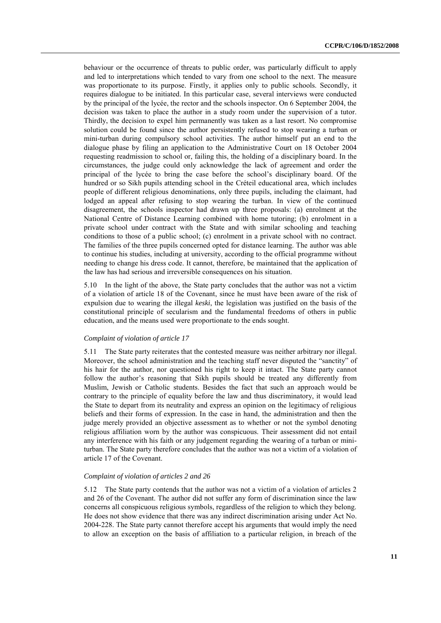behaviour or the occurrence of threats to public order, was particularly difficult to apply and led to interpretations which tended to vary from one school to the next. The measure was proportionate to its purpose. Firstly, it applies only to public schools. Secondly, it requires dialogue to be initiated. In this particular case, several interviews were conducted by the principal of the lycée, the rector and the schools inspector. On 6 September 2004, the decision was taken to place the author in a study room under the supervision of a tutor. Thirdly, the decision to expel him permanently was taken as a last resort. No compromise solution could be found since the author persistently refused to stop wearing a turban or mini-turban during compulsory school activities. The author himself put an end to the dialogue phase by filing an application to the Administrative Court on 18 October 2004 requesting readmission to school or, failing this, the holding of a disciplinary board. In the circumstances, the judge could only acknowledge the lack of agreement and order the principal of the lycée to bring the case before the school"s disciplinary board. Of the hundred or so Sikh pupils attending school in the Créteil educational area, which includes people of different religious denominations, only three pupils, including the claimant, had lodged an appeal after refusing to stop wearing the turban. In view of the continued disagreement, the schools inspector had drawn up three proposals: (a) enrolment at the National Centre of Distance Learning combined with home tutoring; (b) enrolment in a private school under contract with the State and with similar schooling and teaching conditions to those of a public school; (c) enrolment in a private school with no contract. The families of the three pupils concerned opted for distance learning. The author was able to continue his studies, including at university, according to the official programme without needing to change his dress code. It cannot, therefore, be maintained that the application of the law has had serious and irreversible consequences on his situation.

5.10 In the light of the above, the State party concludes that the author was not a victim of a violation of article 18 of the Covenant, since he must have been aware of the risk of expulsion due to wearing the illegal *keski*, the legislation was justified on the basis of the constitutional principle of secularism and the fundamental freedoms of others in public education, and the means used were proportionate to the ends sought.

#### *Complaint of violation of article 17*

5.11 The State party reiterates that the contested measure was neither arbitrary nor illegal. Moreover, the school administration and the teaching staff never disputed the "sanctity" of his hair for the author, nor questioned his right to keep it intact. The State party cannot follow the author's reasoning that Sikh pupils should be treated any differently from Muslim, Jewish or Catholic students. Besides the fact that such an approach would be contrary to the principle of equality before the law and thus discriminatory, it would lead the State to depart from its neutrality and express an opinion on the legitimacy of religious beliefs and their forms of expression. In the case in hand, the administration and then the judge merely provided an objective assessment as to whether or not the symbol denoting religious affiliation worn by the author was conspicuous. Their assessment did not entail any interference with his faith or any judgement regarding the wearing of a turban or miniturban. The State party therefore concludes that the author was not a victim of a violation of article 17 of the Covenant.

#### *Complaint of violation of articles 2 and 26*

5.12 The State party contends that the author was not a victim of a violation of articles 2 and 26 of the Covenant. The author did not suffer any form of discrimination since the law concerns all conspicuous religious symbols, regardless of the religion to which they belong. He does not show evidence that there was any indirect discrimination arising under Act No. 2004-228. The State party cannot therefore accept his arguments that would imply the need to allow an exception on the basis of affiliation to a particular religion, in breach of the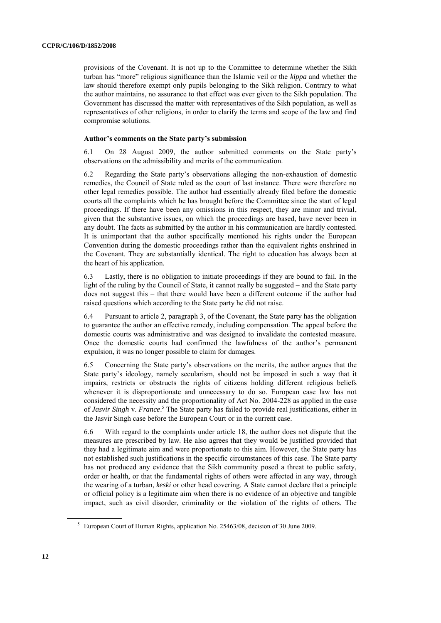provisions of the Covenant. It is not up to the Committee to determine whether the Sikh turban has "more" religious significance than the Islamic veil or the *kippa* and whether the law should therefore exempt only pupils belonging to the Sikh religion. Contrary to what the author maintains, no assurance to that effect was ever given to the Sikh population. The Government has discussed the matter with representatives of the Sikh population, as well as representatives of other religions, in order to clarify the terms and scope of the law and find compromise solutions.

#### **Author's comments on the State party's submission**

6.1 On 28 August 2009, the author submitted comments on the State party"s observations on the admissibility and merits of the communication.

6.2 Regarding the State party"s observations alleging the non-exhaustion of domestic remedies, the Council of State ruled as the court of last instance. There were therefore no other legal remedies possible. The author had essentially already filed before the domestic courts all the complaints which he has brought before the Committee since the start of legal proceedings. If there have been any omissions in this respect, they are minor and trivial, given that the substantive issues, on which the proceedings are based, have never been in any doubt. The facts as submitted by the author in his communication are hardly contested. It is unimportant that the author specifically mentioned his rights under the European Convention during the domestic proceedings rather than the equivalent rights enshrined in the Covenant. They are substantially identical. The right to education has always been at the heart of his application.

6.3 Lastly, there is no obligation to initiate proceedings if they are bound to fail. In the light of the ruling by the Council of State, it cannot really be suggested – and the State party does not suggest this – that there would have been a different outcome if the author had raised questions which according to the State party he did not raise.

6.4 Pursuant to article 2, paragraph 3, of the Covenant, the State party has the obligation to guarantee the author an effective remedy, including compensation. The appeal before the domestic courts was administrative and was designed to invalidate the contested measure. Once the domestic courts had confirmed the lawfulness of the author"s permanent expulsion, it was no longer possible to claim for damages.

6.5 Concerning the State party"s observations on the merits, the author argues that the State party's ideology, namely secularism, should not be imposed in such a way that it impairs, restricts or obstructs the rights of citizens holding different religious beliefs whenever it is disproportionate and unnecessary to do so. European case law has not considered the necessity and the proportionality of Act No. 2004-228 as applied in the case of *Jasvir Singh* v. *France*. <sup>5</sup> The State party has failed to provide real justifications, either in the Jasvir Singh case before the European Court or in the current case.

6.6 With regard to the complaints under article 18, the author does not dispute that the measures are prescribed by law. He also agrees that they would be justified provided that they had a legitimate aim and were proportionate to this aim. However, the State party has not established such justifications in the specific circumstances of this case. The State party has not produced any evidence that the Sikh community posed a threat to public safety, order or health, or that the fundamental rights of others were affected in any way, through the wearing of a turban, *keski* or other head covering. A State cannot declare that a principle or official policy is a legitimate aim when there is no evidence of an objective and tangible impact, such as civil disorder, criminality or the violation of the rights of others. The

<sup>5</sup> European Court of Human Rights, application No. 25463/08, decision of 30 June 2009.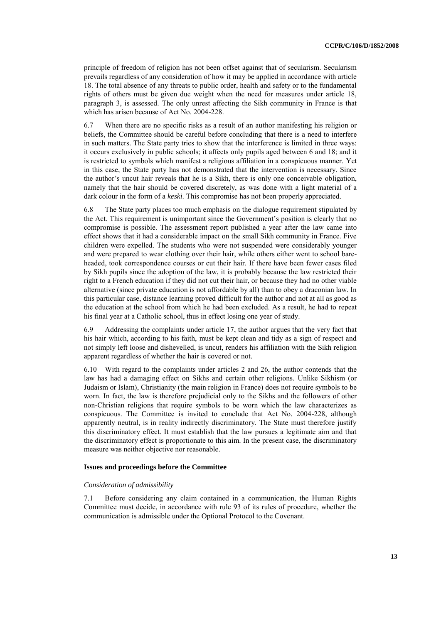principle of freedom of religion has not been offset against that of secularism. Secularism prevails regardless of any consideration of how it may be applied in accordance with article 18. The total absence of any threats to public order, health and safety or to the fundamental rights of others must be given due weight when the need for measures under article 18, paragraph 3, is assessed. The only unrest affecting the Sikh community in France is that which has arisen because of Act No. 2004-228.

6.7 When there are no specific risks as a result of an author manifesting his religion or beliefs, the Committee should be careful before concluding that there is a need to interfere in such matters. The State party tries to show that the interference is limited in three ways: it occurs exclusively in public schools; it affects only pupils aged between 6 and 18; and it is restricted to symbols which manifest a religious affiliation in a conspicuous manner. Yet in this case, the State party has not demonstrated that the intervention is necessary. Since the author"s uncut hair reveals that he is a Sikh, there is only one conceivable obligation, namely that the hair should be covered discretely, as was done with a light material of a dark colour in the form of a *keski*. This compromise has not been properly appreciated.

6.8 The State party places too much emphasis on the dialogue requirement stipulated by the Act. This requirement is unimportant since the Government"s position is clearly that no compromise is possible. The assessment report published a year after the law came into effect shows that it had a considerable impact on the small Sikh community in France. Five children were expelled. The students who were not suspended were considerably younger and were prepared to wear clothing over their hair, while others either went to school bareheaded, took correspondence courses or cut their hair. If there have been fewer cases filed by Sikh pupils since the adoption of the law, it is probably because the law restricted their right to a French education if they did not cut their hair, or because they had no other viable alternative (since private education is not affordable by all) than to obey a draconian law. In this particular case, distance learning proved difficult for the author and not at all as good as the education at the school from which he had been excluded. As a result, he had to repeat his final year at a Catholic school, thus in effect losing one year of study.

6.9 Addressing the complaints under article 17, the author argues that the very fact that his hair which, according to his faith, must be kept clean and tidy as a sign of respect and not simply left loose and dishevelled, is uncut, renders his affiliation with the Sikh religion apparent regardless of whether the hair is covered or not.

6.10 With regard to the complaints under articles 2 and 26, the author contends that the law has had a damaging effect on Sikhs and certain other religions. Unlike Sikhism (or Judaism or Islam), Christianity (the main religion in France) does not require symbols to be worn. In fact, the law is therefore prejudicial only to the Sikhs and the followers of other non-Christian religions that require symbols to be worn which the law characterizes as conspicuous. The Committee is invited to conclude that Act No. 2004-228, although apparently neutral, is in reality indirectly discriminatory. The State must therefore justify this discriminatory effect. It must establish that the law pursues a legitimate aim and that the discriminatory effect is proportionate to this aim. In the present case, the discriminatory measure was neither objective nor reasonable.

#### **Issues and proceedings before the Committee**

#### *Consideration of admissibility*

7.1 Before considering any claim contained in a communication, the Human Rights Committee must decide, in accordance with rule 93 of its rules of procedure, whether the communication is admissible under the Optional Protocol to the Covenant.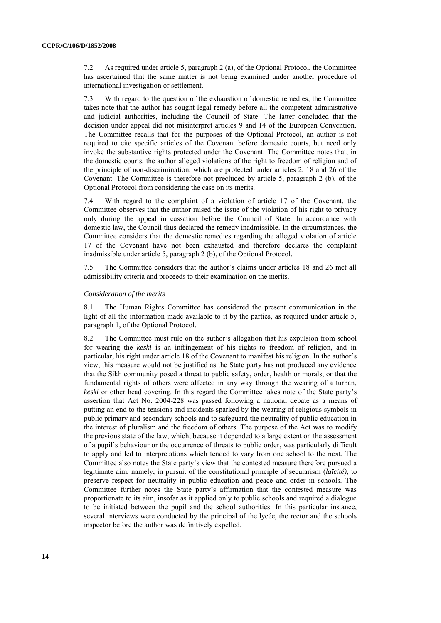7.2 As required under article 5, paragraph 2 (a), of the Optional Protocol, the Committee has ascertained that the same matter is not being examined under another procedure of international investigation or settlement.

7.3 With regard to the question of the exhaustion of domestic remedies, the Committee takes note that the author has sought legal remedy before all the competent administrative and judicial authorities, including the Council of State. The latter concluded that the decision under appeal did not misinterpret articles 9 and 14 of the European Convention. The Committee recalls that for the purposes of the Optional Protocol, an author is not required to cite specific articles of the Covenant before domestic courts, but need only invoke the substantive rights protected under the Covenant. The Committee notes that, in the domestic courts, the author alleged violations of the right to freedom of religion and of the principle of non-discrimination, which are protected under articles 2, 18 and 26 of the Covenant. The Committee is therefore not precluded by article 5, paragraph 2 (b), of the Optional Protocol from considering the case on its merits.

7.4 With regard to the complaint of a violation of article 17 of the Covenant, the Committee observes that the author raised the issue of the violation of his right to privacy only during the appeal in cassation before the Council of State. In accordance with domestic law, the Council thus declared the remedy inadmissible. In the circumstances, the Committee considers that the domestic remedies regarding the alleged violation of article 17 of the Covenant have not been exhausted and therefore declares the complaint inadmissible under article 5, paragraph 2 (b), of the Optional Protocol.

7.5 The Committee considers that the author"s claims under articles 18 and 26 met all admissibility criteria and proceeds to their examination on the merits.

#### *Consideration of the merits*

8.1 The Human Rights Committee has considered the present communication in the light of all the information made available to it by the parties, as required under article 5, paragraph 1, of the Optional Protocol.

8.2 The Committee must rule on the author"s allegation that his expulsion from school for wearing the *keski* is an infringement of his rights to freedom of religion, and in particular, his right under article 18 of the Covenant to manifest his religion. In the author"s view, this measure would not be justified as the State party has not produced any evidence that the Sikh community posed a threat to public safety, order, health or morals, or that the fundamental rights of others were affected in any way through the wearing of a turban, *keski* or other head covering. In this regard the Committee takes note of the State party"s assertion that Act No. 2004-228 was passed following a national debate as a means of putting an end to the tensions and incidents sparked by the wearing of religious symbols in public primary and secondary schools and to safeguard the neutrality of public education in the interest of pluralism and the freedom of others. The purpose of the Act was to modify the previous state of the law, which, because it depended to a large extent on the assessment of a pupil"s behaviour or the occurrence of threats to public order, was particularly difficult to apply and led to interpretations which tended to vary from one school to the next. The Committee also notes the State party"s view that the contested measure therefore pursued a legitimate aim, namely, in pursuit of the constitutional principle of secularism (*laïcité)*, to preserve respect for neutrality in public education and peace and order in schools. The Committee further notes the State party"s affirmation that the contested measure was proportionate to its aim, insofar as it applied only to public schools and required a dialogue to be initiated between the pupil and the school authorities. In this particular instance, several interviews were conducted by the principal of the lycée, the rector and the schools inspector before the author was definitively expelled.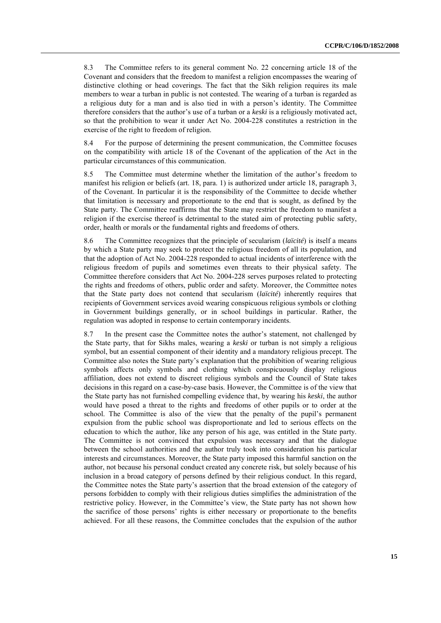8.3 The Committee refers to its general comment No. 22 concerning article 18 of the Covenant and considers that the freedom to manifest a religion encompasses the wearing of distinctive clothing or head coverings. The fact that the Sikh religion requires its male members to wear a turban in public is not contested. The wearing of a turban is regarded as a religious duty for a man and is also tied in with a person"s identity. The Committee therefore considers that the author"s use of a turban or a *keski* is a religiously motivated act, so that the prohibition to wear it under Act No. 2004-228 constitutes a restriction in the exercise of the right to freedom of religion.

8.4 For the purpose of determining the present communication, the Committee focuses on the compatibility with article 18 of the Covenant of the application of the Act in the particular circumstances of this communication.

8.5 The Committee must determine whether the limitation of the author's freedom to manifest his religion or beliefs (art. 18, para. 1) is authorized under article 18, paragraph 3, of the Covenant. In particular it is the responsibility of the Committee to decide whether that limitation is necessary and proportionate to the end that is sought, as defined by the State party. The Committee reaffirms that the State may restrict the freedom to manifest a religion if the exercise thereof is detrimental to the stated aim of protecting public safety, order, health or morals or the fundamental rights and freedoms of others.

8.6 The Committee recognizes that the principle of secularism (*laïcité*) is itself a means by which a State party may seek to protect the religious freedom of all its population, and that the adoption of Act No. 2004-228 responded to actual incidents of interference with the religious freedom of pupils and sometimes even threats to their physical safety. The Committee therefore considers that Act No. 2004-228 serves purposes related to protecting the rights and freedoms of others, public order and safety. Moreover, the Committee notes that the State party does not contend that secularism (*laïcité*) inherently requires that recipients of Government services avoid wearing conspicuous religious symbols or clothing in Government buildings generally, or in school buildings in particular. Rather, the regulation was adopted in response to certain contemporary incidents.

8.7 In the present case the Committee notes the author"s statement, not challenged by the State party, that for Sikhs males, wearing a *keski* or turban is not simply a religious symbol, but an essential component of their identity and a mandatory religious precept. The Committee also notes the State party"s explanation that the prohibition of wearing religious symbols affects only symbols and clothing which conspicuously display religious affiliation, does not extend to discreet religious symbols and the Council of State takes decisions in this regard on a case-by-case basis. However, the Committee is of the view that the State party has not furnished compelling evidence that, by wearing his *keski*, the author would have posed a threat to the rights and freedoms of other pupils or to order at the school. The Committee is also of the view that the penalty of the pupil's permanent expulsion from the public school was disproportionate and led to serious effects on the education to which the author, like any person of his age, was entitled in the State party. The Committee is not convinced that expulsion was necessary and that the dialogue between the school authorities and the author truly took into consideration his particular interests and circumstances. Moreover, the State party imposed this harmful sanction on the author, not because his personal conduct created any concrete risk, but solely because of his inclusion in a broad category of persons defined by their religious conduct. In this regard, the Committee notes the State party"s assertion that the broad extension of the category of persons forbidden to comply with their religious duties simplifies the administration of the restrictive policy. However, in the Committee's view, the State party has not shown how the sacrifice of those persons" rights is either necessary or proportionate to the benefits achieved. For all these reasons, the Committee concludes that the expulsion of the author